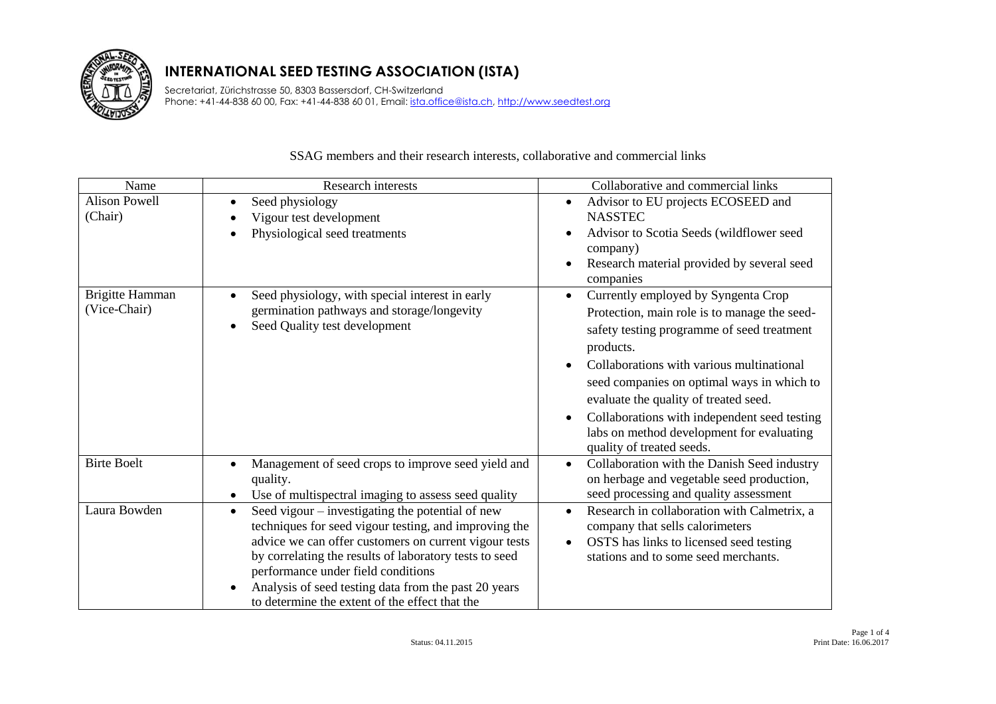

Secretariat, Zürichstrasse 50, 8303 Bassersdorf, CH-Switzerland Phone: +41-44-838 60 00, Fax: +41-44-838 60 01, Email: ista.office@ista.ch, http://www.seedtest.org

#### Name and Collaborative and commercial links Alison Powell (Chair) • Seed physiology Vigour test development • Physiological seed treatments • Advisor to EU projects ECOSEED and NASSTEC Advisor to Scotia Seeds (wildflower seed company) • Research material provided by several seed companies Brigitte Hamman (Vice-Chair) • Seed physiology, with special interest in early germination pathways and storage/longevity • Seed Quality test development • Currently employed by Syngenta Crop Protection, main role is to manage the seedsafety testing programme of seed treatment products. • Collaborations with various multinational seed companies on optimal ways in which to evaluate the quality of treated seed. • Collaborations with independent seed testing labs on method development for evaluating quality of treated seeds. Birte Boelt • Management of seed crops to improve seed yield and quality. Use of multispectral imaging to assess seed quality • Collaboration with the Danish Seed industry on herbage and vegetable seed production, seed processing and quality assessment Laura Bowden **Seed vigour** – investigating the potential of new techniques for seed vigour testing, and improving the advice we can offer customers on current vigour tests by correlating the results of laboratory tests to seed performance under field conditions • Analysis of seed testing data from the past 20 years to determine the extent of the effect that the • Research in collaboration with Calmetrix, a company that sells calorimeters • OSTS has links to licensed seed testing stations and to some seed merchants.

#### SSAG members and their research interests, collaborative and commercial links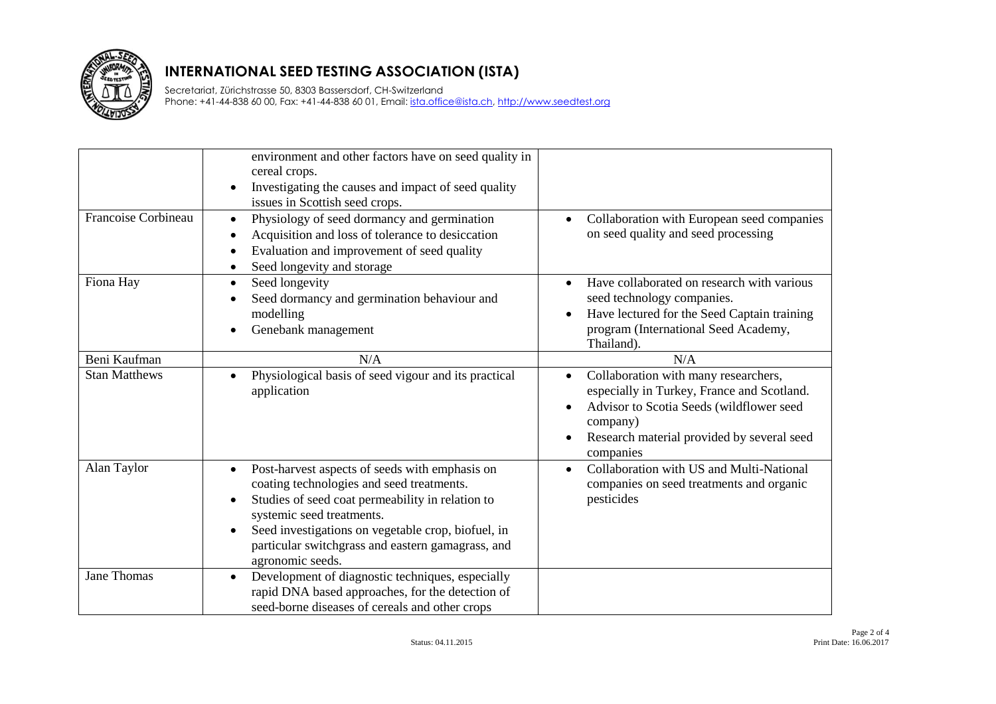

Secretariat, Zürichstrasse 50, 8303 Bassersdorf, CH-Switzerland Phone: +41-44-838 60 00, Fax: +41-44-838 60 01, Email: *ista.office@ista.ch, http://www.seedtest.org* 

|                      | environment and other factors have on seed quality in<br>cereal crops.<br>Investigating the causes and impact of seed quality<br>$\bullet$<br>issues in Scottish seed crops.                                                                                                                                                                       |                                                                                                                                                                                                                                 |
|----------------------|----------------------------------------------------------------------------------------------------------------------------------------------------------------------------------------------------------------------------------------------------------------------------------------------------------------------------------------------------|---------------------------------------------------------------------------------------------------------------------------------------------------------------------------------------------------------------------------------|
| Francoise Corbineau  | Physiology of seed dormancy and germination<br>$\bullet$<br>Acquisition and loss of tolerance to desiccation<br>$\bullet$<br>Evaluation and improvement of seed quality<br>$\bullet$<br>Seed longevity and storage<br>$\bullet$                                                                                                                    | Collaboration with European seed companies<br>$\bullet$<br>on seed quality and seed processing                                                                                                                                  |
| Fiona Hay            | Seed longevity<br>$\bullet$<br>Seed dormancy and germination behaviour and<br>$\bullet$<br>modelling<br>Genebank management<br>$\bullet$                                                                                                                                                                                                           | Have collaborated on research with various<br>$\bullet$<br>seed technology companies.<br>Have lectured for the Seed Captain training<br>program (International Seed Academy,<br>Thailand).                                      |
| Beni Kaufman         | N/A                                                                                                                                                                                                                                                                                                                                                | N/A                                                                                                                                                                                                                             |
| <b>Stan Matthews</b> | Physiological basis of seed vigour and its practical<br>$\bullet$<br>application                                                                                                                                                                                                                                                                   | Collaboration with many researchers,<br>$\bullet$<br>especially in Turkey, France and Scotland.<br>Advisor to Scotia Seeds (wildflower seed<br>company)<br>Research material provided by several seed<br>$\bullet$<br>companies |
| Alan Taylor          | Post-harvest aspects of seeds with emphasis on<br>$\bullet$<br>coating technologies and seed treatments.<br>Studies of seed coat permeability in relation to<br>$\bullet$<br>systemic seed treatments.<br>Seed investigations on vegetable crop, biofuel, in<br>$\bullet$<br>particular switchgrass and eastern gamagrass, and<br>agronomic seeds. | Collaboration with US and Multi-National<br>$\bullet$<br>companies on seed treatments and organic<br>pesticides                                                                                                                 |
| <b>Jane Thomas</b>   | Development of diagnostic techniques, especially<br>$\bullet$<br>rapid DNA based approaches, for the detection of<br>seed-borne diseases of cereals and other crops                                                                                                                                                                                |                                                                                                                                                                                                                                 |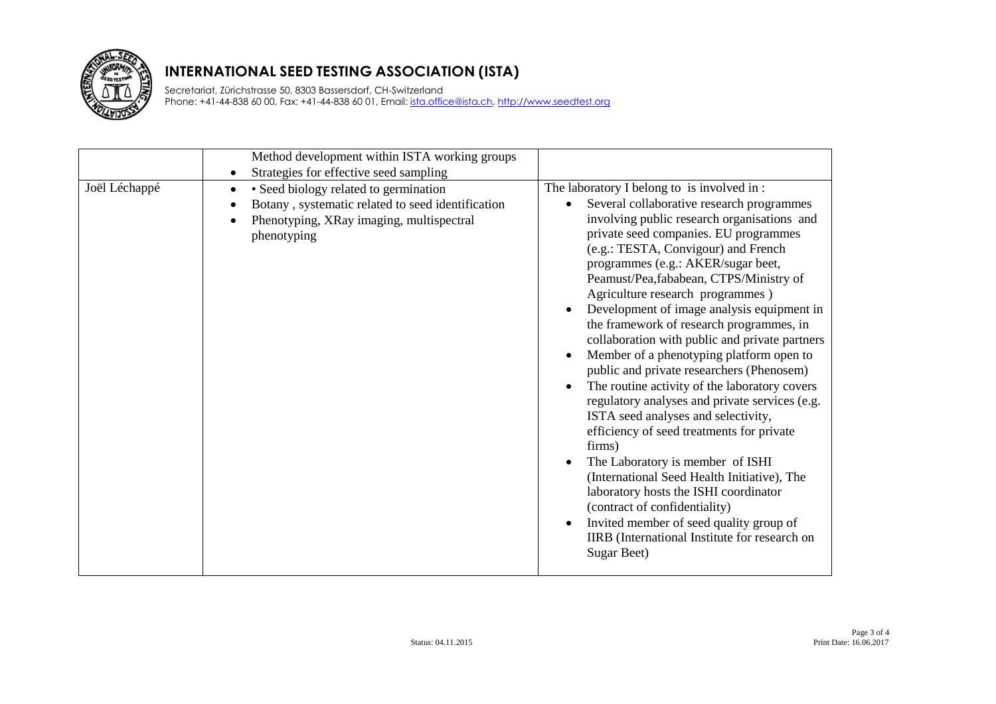

Secretariat, Zürichstrasse 50, 8303 Bassersdorf, CH-Switzerland Phone: +41-44-838 60 00, Fax: +41-44-838 60 01, Email: *ista.office@ista.ch, http://www.seedtest.org* 

|               | Method development within ISTA working groups                                                                                                                                                                                          |                                                                                                                                                                                                                                                                                                                                                                                                                                                                                                                                                                                                                                                                                                                                                                                                                                                                                                                                                                                                                                                                       |
|---------------|----------------------------------------------------------------------------------------------------------------------------------------------------------------------------------------------------------------------------------------|-----------------------------------------------------------------------------------------------------------------------------------------------------------------------------------------------------------------------------------------------------------------------------------------------------------------------------------------------------------------------------------------------------------------------------------------------------------------------------------------------------------------------------------------------------------------------------------------------------------------------------------------------------------------------------------------------------------------------------------------------------------------------------------------------------------------------------------------------------------------------------------------------------------------------------------------------------------------------------------------------------------------------------------------------------------------------|
| Joël Léchappé | Strategies for effective seed sampling<br>$\bullet$<br>• Seed biology related to germination<br>$\bullet$<br>Botany, systematic related to seed identification<br>$\bullet$<br>Phenotyping, XRay imaging, multispectral<br>phenotyping | The laboratory I belong to is involved in:<br>Several collaborative research programmes<br>$\bullet$<br>involving public research organisations and<br>private seed companies. EU programmes<br>(e.g.: TESTA, Convigour) and French<br>programmes (e.g.: AKER/sugar beet,<br>Peamust/Pea,fababean, CTPS/Ministry of<br>Agriculture research programmes)<br>Development of image analysis equipment in<br>the framework of research programmes, in<br>collaboration with public and private partners<br>Member of a phenotyping platform open to<br>public and private researchers (Phenosem)<br>The routine activity of the laboratory covers<br>regulatory analyses and private services (e.g.<br>ISTA seed analyses and selectivity,<br>efficiency of seed treatments for private<br>firms)<br>The Laboratory is member of ISHI<br>(International Seed Health Initiative), The<br>laboratory hosts the ISHI coordinator<br>(contract of confidentiality)<br>Invited member of seed quality group of<br>IIRB (International Institute for research on<br>Sugar Beet) |